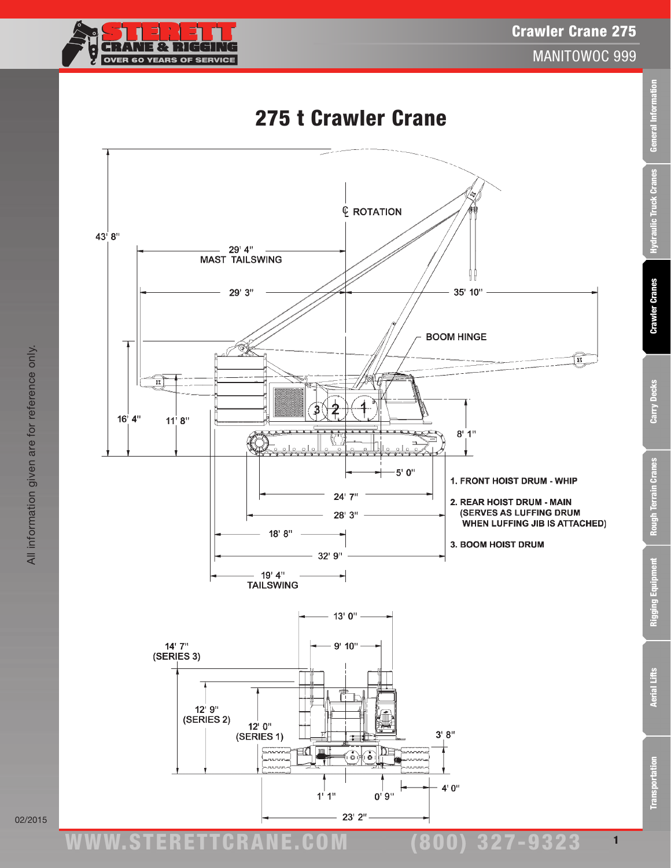

General Information

Hydraulic Truck Cranes

**Crawler Cranes** 

Carry Decks

**Rough Terrain Cranes** 

# 275 t Crawler Crane

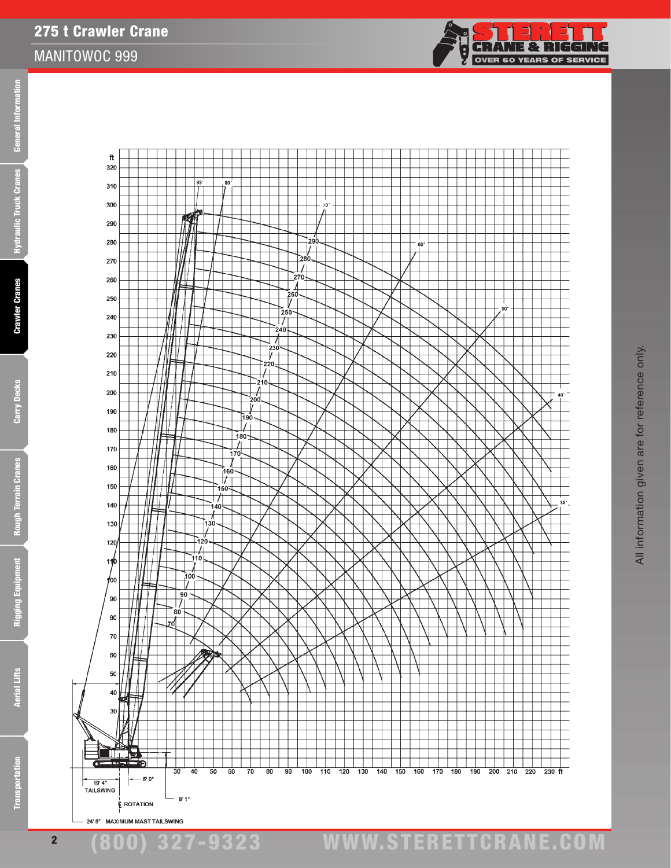

275 t Crawler Crane



**CRANE & RIGGING** 

**OVER 60 YEARS OF SERVICE** 

<u>်<br>မ</u>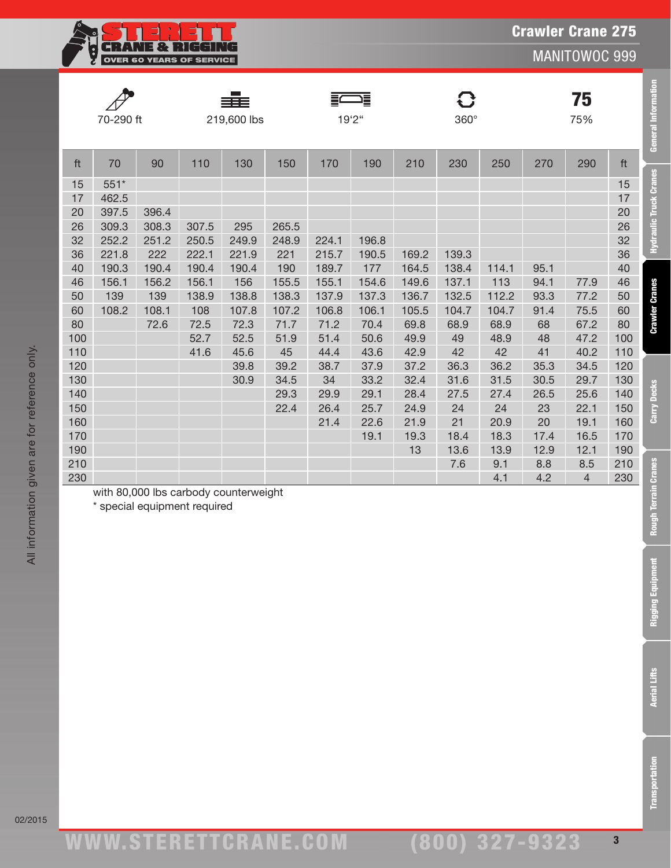

75

|           |             | $\equiv$   |             | . .<br>.U |
|-----------|-------------|------------|-------------|-----------|
| 70-290 ft | 219,600 lbs | 19'2"<br>_ | $360^\circ$ | 75%       |

**A** 

===



ft 70 90 110 130 150 170 190 210 230 250 270 290 ft 15 551\* 15 17 462.5 17 397.5 396.4 20 309.3 308.3 307.5 295 265.5 26 252.2 251.2 250.5 249.9 248.9 224.1 196.8 32 221.8 222 222.1 221.9 221 215.7 190.5 169.2 139.3 36 190.3 190.4 190.4 190.4 190 189.7 177 164.5 138.4 114.1 95.1 40 156.1 156.2 156.1 156 155.5 155.1 154.6 149.6 137.1 113 94.1 77.9 46 139 139 138.9 138.8 138.3 137.9 137.3 136.7 132.5 112.2 93.3 77.2 50 108.2 108.1 108 107.8 107.2 106.8 106.1 105.5 104.7 104.7 91.4 75.5 60 72.6 72.5 72.3 71.7 71.2 70.4 69.8 68.9 68.9 68 67.2 80 52.7 52.5 51.9 51.4 50.6 49.9 49 48.9 48 47.2 100 41.6 45.6 45 44.4 43.6 42.9 42 42 41 40.2 110 39.8 39.2 38.7 37.9 37.2 36.3 36.2 35.3 34.5 120 30.9 34.5 34 33.2 32.4 31.6 31.5 30.5 29.7 130 29.3 29.9 29.1 28.4 27.5 27.4 26.5 25.6 140 22.4 26.4 25.7 24.9 24 24 23 22.1 150 21.4 22.6 21.9 21 20.9 20 19.1 160 19.1 19.3 18.4 18.3 17.4 16.5 170

 $\mathbf{C}$ 

| 190 |  |                                       |  |  | 10 | 13.6 | 13.9 | 12.9 | 10 <sub>1</sub> | 190 |
|-----|--|---------------------------------------|--|--|----|------|------|------|-----------------|-----|
| 210 |  |                                       |  |  |    | 7.6  |      | 8.8  | 8.5             | 210 |
| 230 |  |                                       |  |  |    |      |      |      |                 | 230 |
|     |  | with 80,000 lbs carbody counterweight |  |  |    |      |      |      |                 |     |

\* special equipment required

All information given are for reference only.

All information given are for reference only.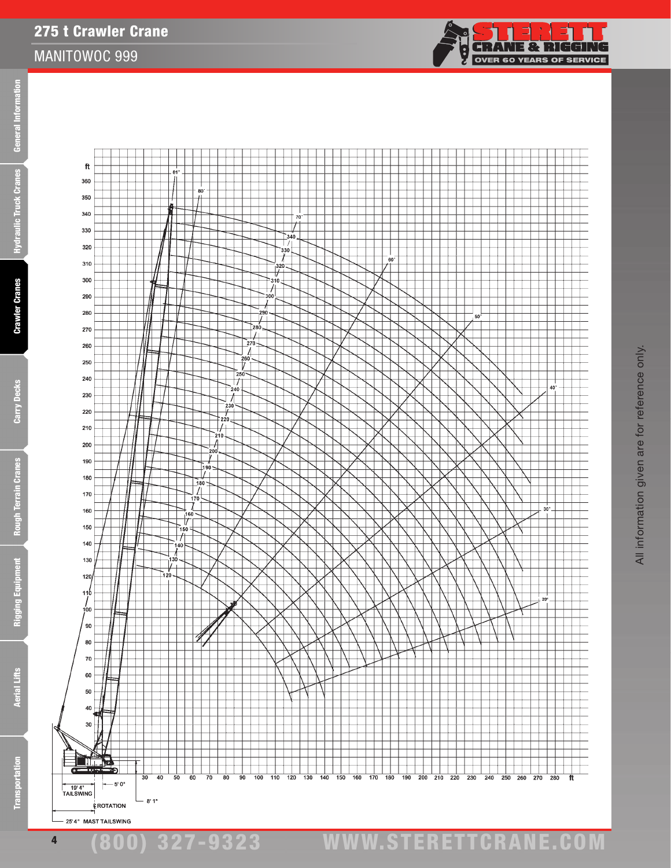£

4





(800) 327-9323 www.STERETTCRAnE.Com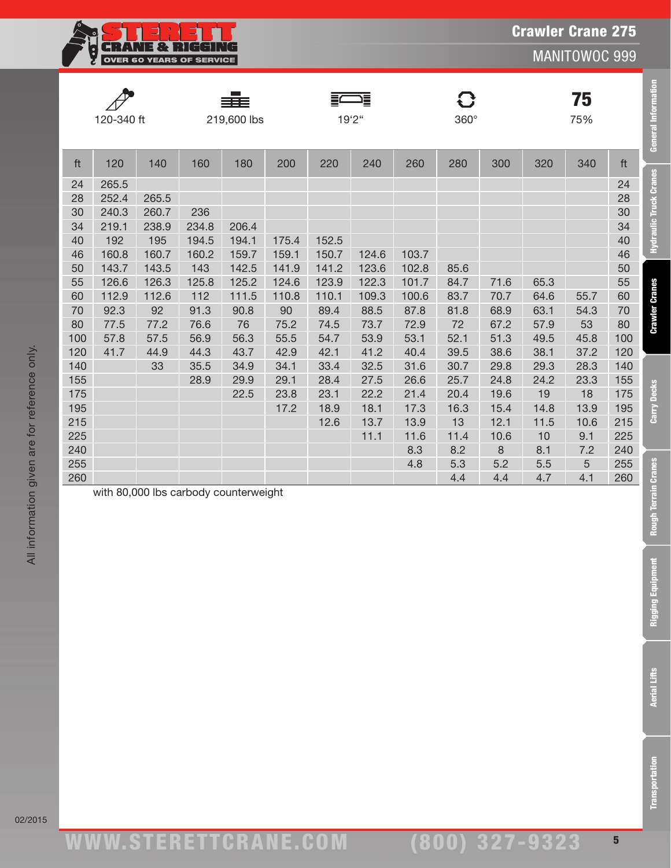

| ₩          | -           | _<br>−      |             |     |
|------------|-------------|-------------|-------------|-----|
| 120-340 ft | 219,600 lbs | "^`^ ا<br>- | $360^\circ$ | 75% |

sãs



 143.7 143.5 143 142.5 141.9 141.2 123.6 102.8 85.6 50 126.6 126.3 125.8 125.2 124.6 123.9 122.3 101.7 84.7 71.6 65.3 55 112.9 112.6 112 111.5 110.8 110.1 109.3 100.6 83.7 70.7 64.6 55.7 60 92.3 92 91.3 90.8 90 89.4 88.5 87.8 81.8 68.9 63.1 54.3 70 77.5 77.2 76.6 76 75.2 74.5 73.7 72.9 72 67.2 57.9 53 80 57.8 57.5 56.9 56.3 55.5 54.7 53.9 53.1 52.1 51.3 49.5 45.8 100 41.7 44.9 44.3 43.7 42.9 42.1 41.2 40.4 39.5 38.6 38.1 37.2 120 33 35.5 34.9 34.1 33.4 32.5 31.6 30.7 29.8 29.3 28.3 140 28.9 29.9 29.1 28.4 27.5 26.6 25.7 24.8 24.2 23.3 155 22.5 23.8 23.1 22.2 21.4 20.4 19.6 19 18 175 17.2 18.9 18.1 17.3 16.3 15.4 14.8 13.9 195 12.6 13.7 13.9 13 12.1 11.5 10.6 215 11.1 11.6 11.4 10.6 10 9.1 225 8.3 8.2 8 8.1 7.2 240

|    | 120-340 ft |       | ≣≣≡<br>219,600 lbs |       |       | 률<br>들<br>19'2" |       | O<br>$360^\circ$ |     |     | 75<br>75% |     |    |
|----|------------|-------|--------------------|-------|-------|-----------------|-------|------------------|-----|-----|-----------|-----|----|
| ft | 120        | 140   | 160                | 180   | 200   | 220             | 240   | 260              | 280 | 300 | 320       | 340 | ft |
| 24 | 265.5      |       |                    |       |       |                 |       |                  |     |     |           |     | 24 |
| 28 | 252.4      | 265.5 |                    |       |       |                 |       |                  |     |     |           |     | 28 |
| 30 | 240.3      | 260.7 | 236                |       |       |                 |       |                  |     |     |           |     | 30 |
| 34 | 219.1      | 238.9 | 234.8              | 206.4 |       |                 |       |                  |     |     |           |     | 34 |
| 40 | 192        | 195   | 194.5              | 194.1 | 175.4 | 152.5           |       |                  |     |     |           |     | 40 |
| 46 | 160.8      | 160.7 | 160.2              | 159.7 | 159.1 | 150.7           | 124.6 | 103.7            |     |     |           |     | 46 |

| 255 |  |                                       |  |  | .כ |  |    | 255 |
|-----|--|---------------------------------------|--|--|----|--|----|-----|
| 260 |  |                                       |  |  |    |  | т. | 260 |
|     |  | with 80,000 lbs carbody counterweight |  |  |    |  |    |     |

All information given are for reference only.

All information given are for reference only.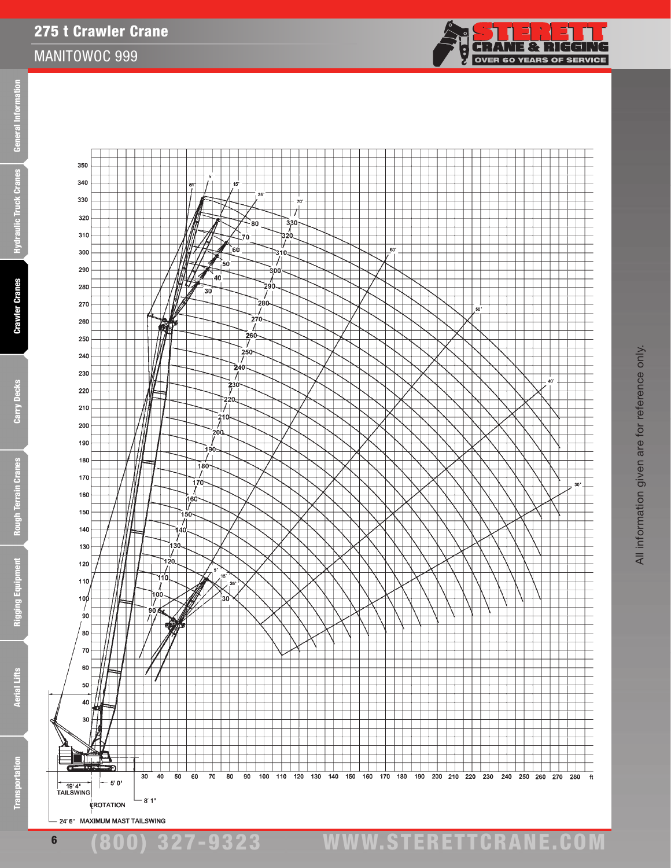£



(800) 327-9323 www.STERETTCRAnE.Com

24' 6" MAXIMUM MAST TAILSWING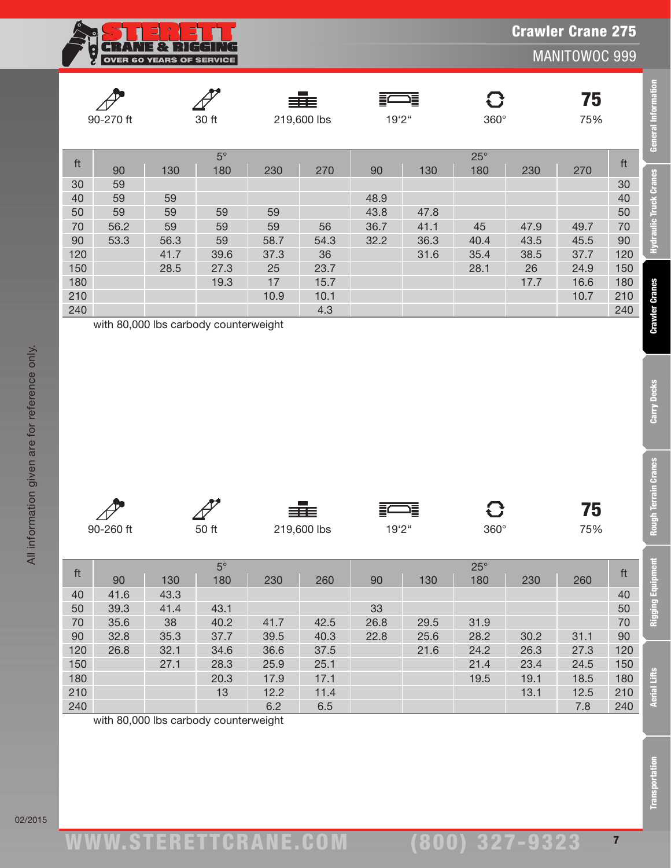|                          | ÷.<br>$\mathbf{v}$ |  |
|--------------------------|--------------------|--|
| OVER 60 YEARS OF SERVICE |                    |  |

**Crawler Cranes** 

Carry Decks

**Rough Terrain Cranes** 

|     | 90-270 ft |      | 30 ft     |      | ≡≡≡<br>219,600 lbs | 19'2" | 這    | $360^\circ$ |      | 75<br>75% |     |
|-----|-----------|------|-----------|------|--------------------|-------|------|-------------|------|-----------|-----|
| ft  |           |      | $5^\circ$ |      |                    |       |      | $25^\circ$  |      |           | ft  |
|     | 90        | 130  | 180       | 230  | 270                | 90    | 130  | 180         | 230  | 270       |     |
| 30  | 59        |      |           |      |                    |       |      |             |      |           | 30  |
| 40  | 59        | 59   |           |      |                    | 48.9  |      |             |      |           | 40  |
| 50  | 59        | 59   | 59        | 59   |                    | 43.8  | 47.8 |             |      |           | 50  |
| 70  | 56.2      | 59   | 59        | 59   | 56                 | 36.7  | 41.1 | 45          | 47.9 | 49.7      | 70  |
| 90  | 53.3      | 56.3 | 59        | 58.7 | 54.3               | 32.2  | 36.3 | 40.4        | 43.5 | 45.5      | 90  |
| 120 |           | 41.7 | 39.6      | 37.3 | 36                 |       | 31.6 | 35.4        | 38.5 | 37.7      | 120 |
| 150 |           | 28.5 | 27.3      | 25   | 23.7               |       |      | 28.1        | 26   | 24.9      | 150 |
| 180 |           |      | 19.3      | 17   | 15.7               |       |      |             | 17.7 | 16.6      | 180 |
| 210 |           |      |           | 10.9 | 10.1               |       |      |             |      | 10.7      | 210 |
| 240 |           |      |           |      | 4.3                |       |      |             |      |           | 240 |

| $\sqrt{V}$ | ⊶     | 三三          | ∖≡     |             | 75  |
|------------|-------|-------------|--------|-------------|-----|
| 90-260 ft  | 50 ft | 219,600 lbs | 19'2'' | $360^\circ$ | 75% |

|                                                                                     | 90-270 ft                                                                     | 30 ft                                             |                                                                        | 219,600 lbs                                         |                                                        | 19'2"                              |                                     | $360^\circ$                                               | 75<br>75%                                   |                                                     |                                                                             | <b>General Informatio</b>                              |
|-------------------------------------------------------------------------------------|-------------------------------------------------------------------------------|---------------------------------------------------|------------------------------------------------------------------------|-----------------------------------------------------|--------------------------------------------------------|------------------------------------|-------------------------------------|-----------------------------------------------------------|---------------------------------------------|-----------------------------------------------------|-----------------------------------------------------------------------------|--------------------------------------------------------|
| ft<br>30<br>40<br>50<br>70<br>90<br>120<br>150<br>180<br>210<br>240                 | 90<br>59<br>59<br>59<br>56.2<br>53.3<br>with 80,000 lbs carbody counterweight | 130<br>59<br>59<br>59<br>56.3<br>41.7<br>28.5     | $5^\circ$<br>180<br>59<br>59<br>59<br>39.6<br>27.3<br>19.3             | 230<br>59<br>59<br>58.7<br>37.3<br>25<br>17<br>10.9 | 270<br>56<br>54.3<br>36<br>23.7<br>15.7<br>10.1<br>4.3 | 90<br>48.9<br>43.8<br>36.7<br>32.2 | 130<br>47.8<br>41.1<br>36.3<br>31.6 | $25^\circ$<br>180<br>45<br>40.4<br>35.4<br>28.1           | 230<br>47.9<br>43.5<br>38.5<br>26<br>17.7   | 270<br>49.7<br>45.5<br>37.7<br>24.9<br>16.6<br>10.7 | ft<br>30<br>40<br>50<br>70<br>90<br>120<br>150<br>180<br>210<br>240         | <b>Hydraulic Truck Cranes</b><br><b>Crawler Cranes</b> |
|                                                                                     |                                                                               |                                                   |                                                                        |                                                     |                                                        |                                    |                                     |                                                           |                                             |                                                     |                                                                             |                                                        |
|                                                                                     | 90-260 ft                                                                     |                                                   | 50 ft                                                                  |                                                     | 219,600 lbs                                            | 19'2"                              | 這                                   | G<br>$360^\circ$                                          |                                             | 75<br>75%                                           |                                                                             | <b>Carry Decks</b><br><b>Rough Terrain Cranes</b>      |
| $\operatorname{\sf ft}$<br>40<br>50<br>$70\,$<br>$90\,$<br>120<br>150<br>180<br>210 | 90<br>41.6<br>39.3<br>35.6<br>32.8<br>26.8                                    | 130<br>43.3<br>41.4<br>38<br>35.3<br>32.1<br>27.1 | $5^\circ$<br>180<br>43.1<br>40.2<br>37.7<br>34.6<br>28.3<br>20.3<br>13 | 230<br>41.7<br>39.5<br>36.6<br>25.9<br>17.9<br>12.2 | 260<br>42.5<br>40.3<br>37.5<br>25.1<br>17.1<br>11.4    | 90<br>33<br>26.8<br>22.8           | 130<br>29.5<br>25.6<br>21.6         | $25^\circ$<br>180<br>31.9<br>28.2<br>24.2<br>21.4<br>19.5 | 230<br>30.2<br>26.3<br>23.4<br>19.1<br>13.1 | 260<br>31.1<br>27.3<br>24.5<br>18.5<br>12.5         | $\operatorname{\sf ft}$<br>40<br>50<br>70<br>90<br>120<br>150<br>180<br>210 | ment<br>Rigging Equipr<br><b>Aerial Lifts</b>          |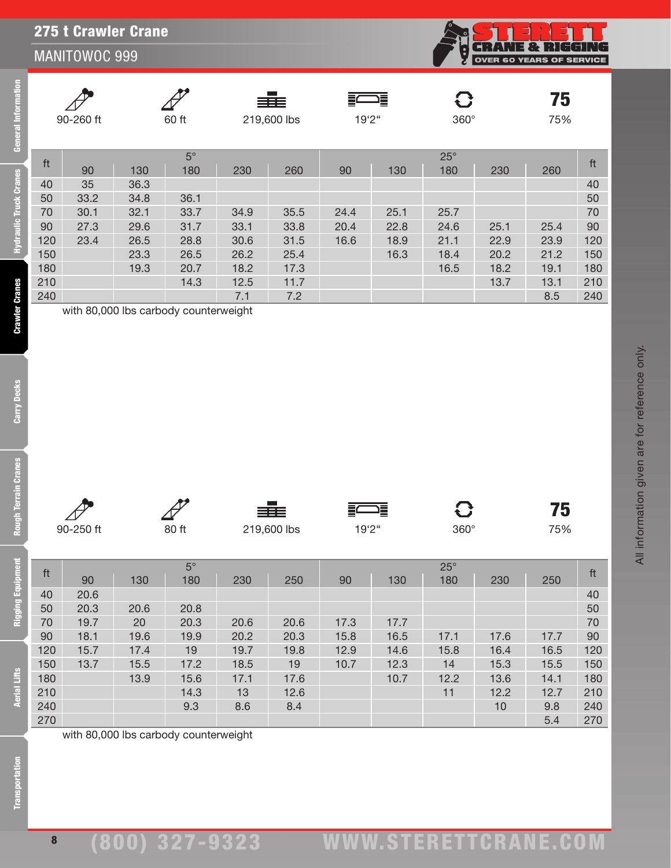# 275 t Crawler Crane

### MANITOWOC 999

| DVER 60 YEARS OF SERVICE |
|--------------------------|
|                          |

|     | 90-260 ft |      | 60 ft                                 |      | ≡≡≡<br>219,600 lbs | 19'2'' | 這    | $360^\circ$       |      | 75<br>75% |     |
|-----|-----------|------|---------------------------------------|------|--------------------|--------|------|-------------------|------|-----------|-----|
| ft  | 90        | 130  | $5^\circ$<br>180                      | 230  | 260                | 90     | 130  | $25^\circ$<br>180 | 230  | 260       | ft  |
| 40  | 35        | 36.3 |                                       |      |                    |        |      |                   |      |           | 40  |
| 50  | 33.2      | 34.8 | 36.1                                  |      |                    |        |      |                   |      |           | 50  |
| 70  | 30.1      | 32.1 | 33.7                                  | 34.9 | 35.5               | 24.4   | 25.1 | 25.7              |      |           | 70  |
| 90  | 27.3      | 29.6 | 31.7                                  | 33.1 | 33.8               | 20.4   | 22.8 | 24.6              | 25.1 | 25.4      | 90  |
| 120 | 23.4      | 26.5 | 28.8                                  | 30.6 | 31.5               | 16.6   | 18.9 | 21.1              | 22.9 | 23.9      | 120 |
| 150 |           | 23.3 | 26.5                                  | 26.2 | 25.4               |        | 16.3 | 18.4              | 20.2 | 21.2      | 150 |
| 180 |           | 19.3 | 20.7                                  | 18.2 | 17.3               |        |      | 16.5              | 18.2 | 19.1      | 180 |
| 210 |           |      | 14.3                                  | 12.5 | 11.7               |        |      |                   | 13.7 | 13.1      | 210 |
| 240 |           |      |                                       | 7.1  | 7.2                |        |      |                   |      | 8.5       | 240 |
|     |           |      | with 80,000 lbs carbody counterweight |      |                    |        |      |                   |      |           |     |

**Rough Terrain Cranes** 

**Rigging Equipment** 

**Iral Information** 

**Iraulic Truck Cranes** 

**Crawler Cranes** 

All information given are for reference only.

All information given are for reference only.

|     |              |      |                    |          | 圭           |       | 這    |             |      | 75   |     |
|-----|--------------|------|--------------------|----------|-------------|-------|------|-------------|------|------|-----|
|     | 90-250 ft    |      | 80 ft              |          | 219,600 lbs | 19'2" |      | $360^\circ$ |      | 75%  |     |
|     |              |      |                    |          |             |       |      |             |      |      |     |
|     |              |      | $5^\circ$          |          |             |       |      | $25^\circ$  |      |      |     |
| ft  | 90           | 130  | 180                | 230      | 250         | 90    | 130  | 180         | 230  | 250  | ft  |
| 40  | 20.6         |      |                    |          |             |       |      |             |      |      | 40  |
| 50  | 20.3         | 20.6 | 20.8               |          |             |       |      |             |      |      | 50  |
| 70  | 19.7         | 20   | 20.3               | 20.6     | 20.6        | 17.3  | 17.7 |             |      |      | 70  |
| 90  | 18.1         | 19.6 | 19.9               | 20.2     | 20.3        | 15.8  | 16.5 | 17.1        | 17.6 | 17.7 | 90  |
| 120 | 15.7         | 17.4 | 19                 | 19.7     | 19.8        | 12.9  | 14.6 | 15.8        | 16.4 | 16.5 | 120 |
| 150 | 13.7         | 15.5 | 17.2               | 18.5     | 19          | 10.7  | 12.3 | 14          | 15.3 | 15.5 | 150 |
| 180 |              | 13.9 | 15.6               | 17.1     | 17.6        |       | 10.7 | 12.2        | 13.6 | 14.1 | 180 |
| 210 |              |      | 14.3               | 13       | 12.6        |       |      | 11          | 12.2 | 12.7 | 210 |
| 240 |              |      | 9.3                | 8.6      | 8.4         |       |      |             | 10   | 9.8  | 240 |
| 270 |              |      |                    |          |             |       |      |             |      | 5.4  | 270 |
|     | 1.1.00000011 |      | .<br>$\sim$ $\sim$ | $\cdots$ |             |       |      |             |      |      |     |

with 80,000 lbs carbody counterweight

**Aerial Lifts**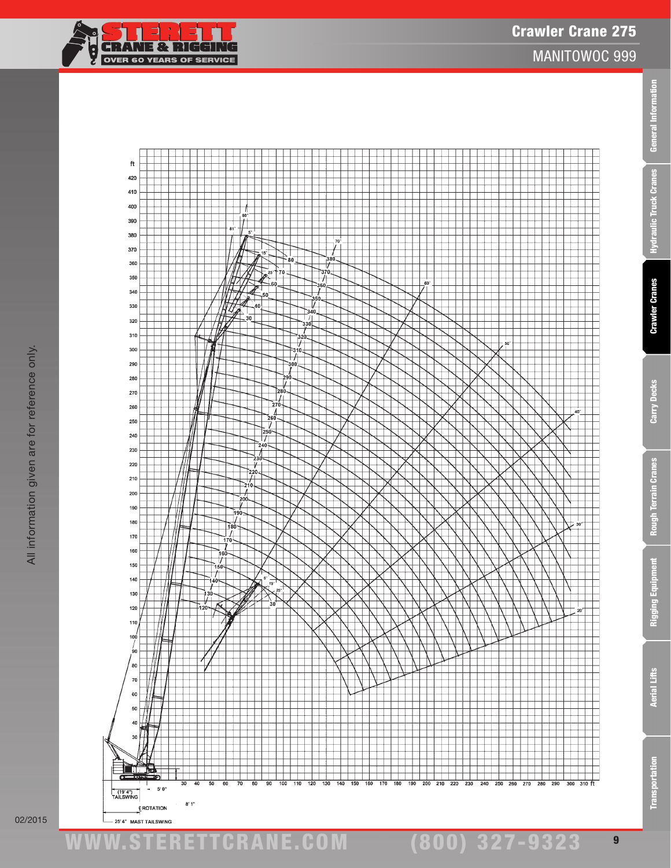

02/2015

www.STERETTCRAnE.Com

(800) 327-9323

Transportation Aerial Lifts Rigging Equipment Rough Terrain Cranes Carry Decks Crawler Cranes Hydraulic Truck Cranes General Information

**Rough Terrain Cranes** 

Rigging Equipment

**Aerial Lifts** 

**Transportation** 

Carry Decks

eral Informati

**Gen** 

**Hydraulic Truck Cranes** 

**Crawler Cranes**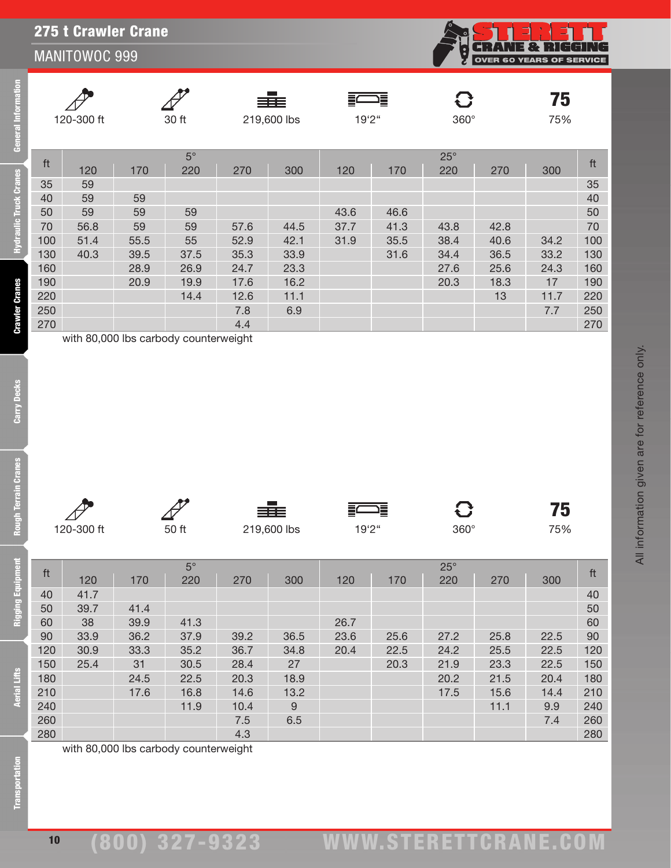## 275 t Crawler Crane

#### MANITOWOC 999

**CRANE & RIGGING**<br>OVER 60 YEARS OF SERVICE i<br>k

All information given are for reference only.

All information given are for reference only.

|     | 120-300 ft |                                                                                  | 30 ft       |                | <b>Contract</b><br>≣≣≡<br>219,600 lbs | 19'2" | 這    | $\mathbf G$<br>$360^\circ$ |      | 75<br>75% |     |
|-----|------------|----------------------------------------------------------------------------------|-------------|----------------|---------------------------------------|-------|------|----------------------------|------|-----------|-----|
| ft  |            |                                                                                  | $5^{\circ}$ |                |                                       |       |      | $25^\circ$                 |      |           | ft  |
|     | 120        | 170                                                                              | 220         | 270            | 300                                   | 120   | 170  | 220                        | 270  | 300       |     |
| 35  | 59         |                                                                                  |             |                |                                       |       |      |                            |      |           | 35  |
| 40  | 59         | 59                                                                               |             |                |                                       |       |      |                            |      |           | 40  |
| 50  | 59         | 59                                                                               | 59          |                |                                       | 43.6  | 46.6 |                            |      |           | 50  |
| 70  | 56.8       | 59                                                                               | 59          | 57.6           | 44.5                                  | 37.7  | 41.3 | 43.8                       | 42.8 |           | 70  |
| 100 | 51.4       | 55.5                                                                             | 55          | 52.9           | 42.1                                  | 31.9  | 35.5 | 38.4                       | 40.6 | 34.2      | 100 |
| 130 | 40.3       | 39.5                                                                             | 37.5        | 35.3           | 33.9                                  |       | 31.6 | 34.4                       | 36.5 | 33.2      | 130 |
| 160 |            | 28.9                                                                             | 26.9        | 24.7           | 23.3                                  |       |      | 27.6                       | 25.6 | 24.3      | 160 |
| 190 |            | 20.9                                                                             | 19.9        | 17.6           | 16.2                                  |       |      | 20.3                       | 18.3 | 17        | 190 |
| 220 |            |                                                                                  | 14.4        | 12.6           | 11.1                                  |       |      |                            | 13   | 11.7      | 220 |
| 250 |            |                                                                                  |             | 7.8            | 6.9                                   |       |      |                            |      | 7.7       | 250 |
| 270 |            |                                                                                  |             | 4.4            |                                       |       |      |                            |      |           | 270 |
|     |            | $\mathbf{H}$ and $\mathbf{H}$ and $\mathbf{H}$ and $\mathbf{H}$ and $\mathbf{H}$ |             | <b>1. L.L.</b> |                                       |       |      |                            |      |           |     |

with 80,000 lbs carbody counterweight

مم

**General Information** 

**Hydraulic Truck Cranes** 

**Crawler Cranes** 

 $\blacksquare$ 

Transı

|            |           | 三百三         |       |              | 79  |
|------------|-----------|-------------|-------|--------------|-----|
| 120-300 ft | 50 ft     | 219,600 lbs | 19'2" | $360^\circ$  | 75% |
|            |           |             |       |              |     |
|            | $5^\circ$ |             |       | $25^{\circ}$ |     |

|              | $25^\circ$                                                        |              |     |
|--------------|-------------------------------------------------------------------|--------------|-----|
| 300<br>120   | 220<br>170                                                        | 270<br>300   | ft  |
|              |                                                                   |              | 40  |
|              |                                                                   |              | 50  |
| 26.7         |                                                                   |              | 60  |
| 36.5         | 27.2<br>25.6                                                      | 25.8<br>22.5 | 90  |
| 34.8<br>20.4 | 24.2<br>22.5                                                      | 22.5<br>25.5 | 120 |
| 27           | 21.9<br>20.3                                                      | 22.5<br>23.3 | 150 |
| 18.9         | 20.2                                                              | 21.5<br>20.4 | 180 |
| 13.2         | 17.5                                                              | 14.4<br>15.6 | 210 |
| 9            |                                                                   | 9.9<br>11.1  | 240 |
| 6.5          |                                                                   | 7.4          | 260 |
|              |                                                                   |              | 280 |
|              | 270<br>39.2<br>36.7<br>28.4<br>20.3<br>14.6<br>10.4<br>7.5<br>4.3 | 23.6         |     |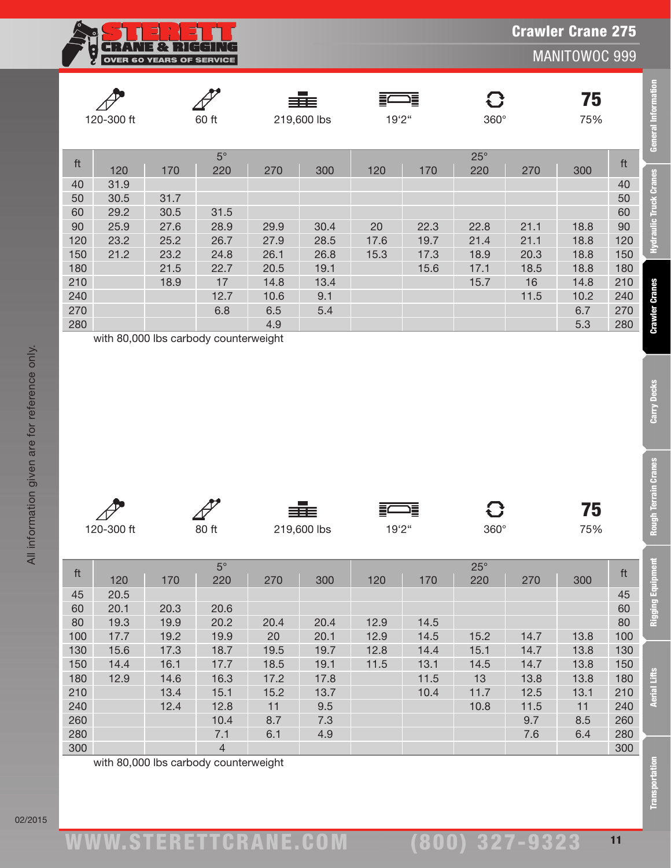**CRANE & RIGGING** OVER 60 YEARS OF SERVICE

MANITOWOC 999

|     | 120-300 ft |      | 60 ft     |      | ≡≡≡<br>219,600 lbs | 19'2" | 這    | $360^\circ$ |      | 75<br>75% |     |
|-----|------------|------|-----------|------|--------------------|-------|------|-------------|------|-----------|-----|
| ft  |            |      | $5^\circ$ |      |                    |       |      | $25^\circ$  |      |           | ft  |
|     | 120        | 170  | 220       | 270  | 300                | 120   | 170  | 220         | 270  | 300       |     |
| 40  | 31.9       |      |           |      |                    |       |      |             |      |           | 40  |
| 50  | 30.5       | 31.7 |           |      |                    |       |      |             |      |           | 50  |
| 60  | 29.2       | 30.5 | 31.5      |      |                    |       |      |             |      |           | 60  |
| 90  | 25.9       | 27.6 | 28.9      | 29.9 | 30.4               | 20    | 22.3 | 22.8        | 21.1 | 18.8      | 90  |
| 120 | 23.2       | 25.2 | 26.7      | 27.9 | 28.5               | 17.6  | 19.7 | 21.4        | 21.1 | 18.8      | 120 |
| 150 | 21.2       | 23.2 | 24.8      | 26.1 | 26.8               | 15.3  | 17.3 | 18.9        | 20.3 | 18.8      | 150 |
| 180 |            | 21.5 | 22.7      | 20.5 | 19.1               |       | 15.6 | 17.1        | 18.5 | 18.8      | 180 |
| 210 |            | 18.9 | 17        | 14.8 | 13.4               |       |      | 15.7        | 16   | 14.8      | 210 |
| 240 |            |      | 12.7      | 10.6 | 9.1                |       |      |             | 11.5 | 10.2      | 240 |
| 270 |            |      | 6.8       | 6.5  | 5.4                |       |      |             |      | 6.7       | 270 |
| 280 |            |      |           | 4.9  |                    |       |      |             |      | 5.3       | 280 |

| $\Delta$   |       | 332         |       |             | 75 Y |
|------------|-------|-------------|-------|-------------|------|
| 120-300 ft | 80 ft | 219,600 lbs | 19'2" | $360^\circ$ | 75%  |

|                         | 120-300 ft<br>60 ft |              | 219,600 lbs           |             | 19'2"        |              | 360°         |                     | 75<br>75%    |             |                         |
|-------------------------|---------------------|--------------|-----------------------|-------------|--------------|--------------|--------------|---------------------|--------------|-------------|-------------------------|
| ft                      | 120                 | 170          | $5^{\circ}$<br>220    | 270         | 300          | 120          | 170          | $25^{\circ}$<br>220 | 270          | 300         | ft                      |
| 40                      | 31.9                |              |                       |             |              |              |              |                     |              |             | 40                      |
| 50                      | 30.5                | 31.7         |                       |             |              |              |              |                     |              |             | 50                      |
| 60                      | 29.2                | 30.5         | 31.5                  |             |              |              |              |                     |              |             | 60                      |
| 90                      | 25.9                | 27.6         | 28.9                  | 29.9        | 30.4         | 20           | 22.3         | 22.8                | 21.1         | 18.8        | 90                      |
| 120                     | 23.2                | 25.2         | 26.7                  | 27.9        | 28.5         | 17.6         | 19.7         | 21.4                | 21.1         | 18.8        | 120                     |
| 150                     | 21.2                | 23.2         | 24.8                  | 26.1        | 26.8         | 15.3         | 17.3         | 18.9                | 20.3         | 18.8        | 150                     |
| 180                     |                     | 21.5         | 22.7                  | 20.5        | 19.1         |              | 15.6         | 17.1                | 18.5         | 18.8        | 180                     |
| 210                     |                     | 18.9         | 17                    | 14.8        | 13.4         |              |              | 15.7                | 16           | 14.8        | 210                     |
| 240<br>270              |                     |              | 12.7<br>6.8           | 10.6<br>6.5 | 9.1<br>5.4   |              |              |                     | 11.5         | 10.2<br>6.7 | 240<br>270              |
| 280                     |                     |              |                       | 4.9         |              |              |              |                     |              | 5.3         | 280                     |
|                         |                     |              |                       |             |              |              |              |                     |              |             |                         |
|                         | 120-300 ft          |              | 80 ft                 |             | 219,600 lbs  | 19'2"        |              | O<br>360°           |              | 75<br>75%   |                         |
| $\operatorname{\sf ft}$ |                     |              | $5^{\circ}$           |             |              |              |              | $25^\circ$          |              |             | $\operatorname{\sf ft}$ |
|                         | 120                 | 170          | 220                   | 270         | 300          | 120          | 170          | 220                 | 270          | 300         |                         |
| 45                      | 20.5                |              |                       |             |              |              |              |                     |              |             | 45                      |
| 60                      | 20.1                | 20.3         | 20.6                  |             |              |              |              |                     |              |             | 60                      |
| 80<br>100               | 19.3<br>17.7        | 19.9         | 20.2                  | 20.4        | 20.4         | 12.9         | 14.5         |                     |              | 13.8        | 80                      |
| 130                     | 15.6                | 19.2<br>17.3 | 19.9<br>18.7          | 20<br>19.5  | 20.1<br>19.7 | 12.9<br>12.8 | 14.5<br>14.4 | 15.2<br>15.1        | 14.7<br>14.7 | 13.8        | 100<br>130              |
| 150                     | 14.4                | 16.1         | 17.7                  | 18.5        | 19.1         | 11.5         | 13.1         | 14.5                | 14.7         | 13.8        | 150                     |
| 180                     | 12.9                | 14.6         | 16.3                  | 17.2        | 17.8         |              | 11.5         | 13                  | 13.8         | 13.8        | 180                     |
| 210                     |                     | 13.4         | 15.1                  | 15.2        | 13.7         |              | 10.4         | 11.7                | 12.5         | 13.1        | 210                     |
| 240                     |                     | 12.4         | 12.8                  | 11          | 9.5          |              |              | 10.8                | 11.5         | 11          | 240                     |
| 260                     |                     |              | 10.4                  | 8.7         | 7.3          |              |              |                     | 9.7          | 8.5         | 260                     |
| 280<br>300              |                     |              | 7.1<br>$\overline{4}$ | 6.1         | 4.9          |              |              |                     | 7.6          | 6.4         | 280<br>300              |

Carry Decks

**Rough Terrain Cranes** 

**General Information**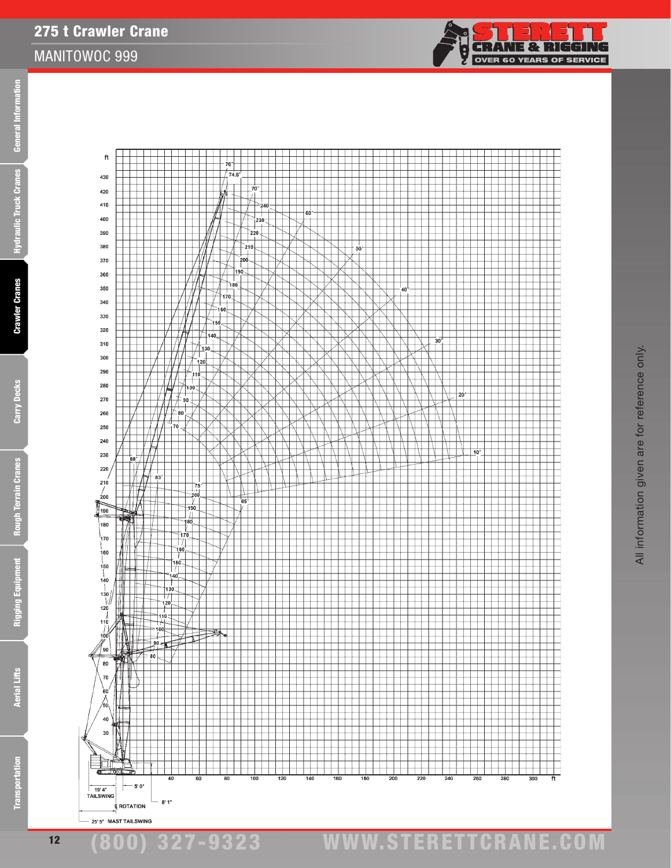Rough 1

275 t Crawler Crane



**CRANE & RIGGING** 

**OVER 60 YEARS OF SERVICE** 

Ş

**Aerial Lifts** 

12

¢ ROTATION 25' 5" MAST TAILSWING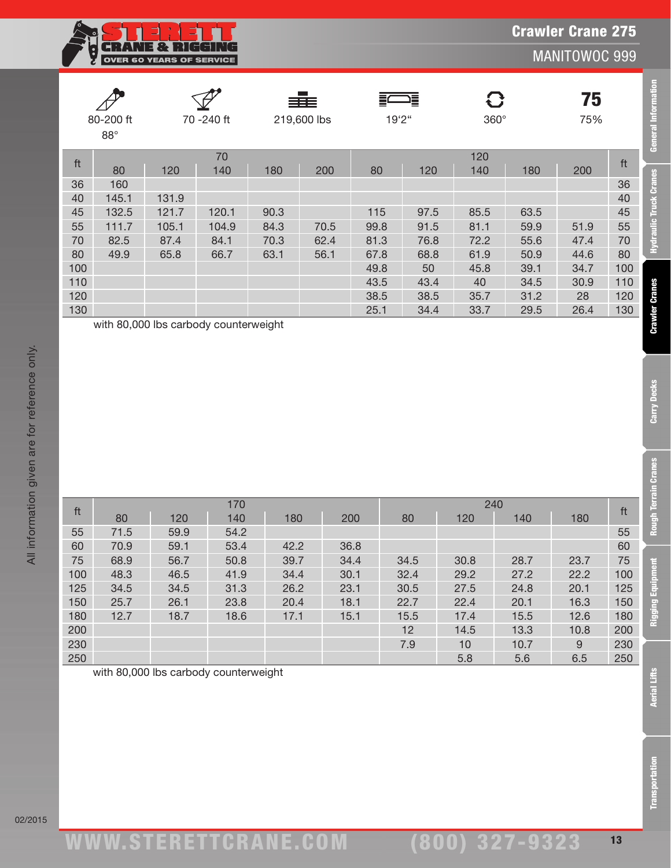

**General Information** 

**Hydraulic Truck Cranes** 

**Crawler Cranes** 

Carry Decks

**Rough Terrain Cranes** 

**Rigging Equipment** 

|     | 80-200 ft<br>$88^\circ$ | 70 - 240 ft |           | ≣≣≣<br>219,600 lbs |      | 這<br>19'2" |      | $\mathbf G$<br>$360^\circ$ |      | 75<br>75% |     |
|-----|-------------------------|-------------|-----------|--------------------|------|------------|------|----------------------------|------|-----------|-----|
| ft  | 80                      | 120         | 70<br>140 | 180                | 200  | 80         | 120  | 120<br>140                 | 180  | 200       | ft  |
| 36  | 160                     |             |           |                    |      |            |      |                            |      |           | 36  |
| 40  | 145.1                   | 131.9       |           |                    |      |            |      |                            |      |           | 40  |
| 45  | 132.5                   | 121.7       | 120.1     | 90.3               |      | 115        | 97.5 | 85.5                       | 63.5 |           | 45  |
| 55  | 111.7                   | 105.1       | 104.9     | 84.3               | 70.5 | 99.8       | 91.5 | 81.1                       | 59.9 | 51.9      | 55  |
| 70  | 82.5                    | 87.4        | 84.1      | 70.3               | 62.4 | 81.3       | 76.8 | 72.2                       | 55.6 | 47.4      | 70  |
| 80  | 49.9                    | 65.8        | 66.7      | 63.1               | 56.1 | 67.8       | 68.8 | 61.9                       | 50.9 | 44.6      | 80  |
| 100 |                         |             |           |                    |      | 49.8       | 50   | 45.8                       | 39.1 | 34.7      | 100 |
| 110 |                         |             |           |                    |      | 43.5       | 43.4 | 40                         | 34.5 | 30.9      | 110 |
| 120 |                         |             |           |                    |      | 38.5       | 38.5 | 35.7                       | 31.2 | 28        | 120 |
| 130 |                         |             |           |                    |      | 25.1       | 34.4 | 33.7                       | 29.5 | 26.4      | 130 |

with 80,000 lbs carbody counterweight

|     |      |      | 170  |      |      |      |      | 240  |      |     |
|-----|------|------|------|------|------|------|------|------|------|-----|
| ft  | 80   | 120  | 140  | 180  | 200  | 80   | 120  | 140  | 180  | ft  |
| 55  | 71.5 | 59.9 | 54.2 |      |      |      |      |      |      | 55  |
| 60  | 70.9 | 59.1 | 53.4 | 42.2 | 36.8 |      |      |      |      | 60  |
| 75  | 68.9 | 56.7 | 50.8 | 39.7 | 34.4 | 34.5 | 30.8 | 28.7 | 23.7 | 75  |
| 100 | 48.3 | 46.5 | 41.9 | 34.4 | 30.1 | 32.4 | 29.2 | 27.2 | 22.2 | 100 |
| 125 | 34.5 | 34.5 | 31.3 | 26.2 | 23.1 | 30.5 | 27.5 | 24.8 | 20.1 | 125 |
| 150 | 25.7 | 26.1 | 23.8 | 20.4 | 18.1 | 22.7 | 22.4 | 20.1 | 16.3 | 150 |
| 180 | 12.7 | 18.7 | 18.6 | 17.1 | 15.1 | 15.5 | 17.4 | 15.5 | 12.6 | 180 |
| 200 |      |      |      |      |      | 12   | 14.5 | 13.3 | 10.8 | 200 |
| 230 |      |      |      |      |      | 7.9  | 10   | 10.7 | 9    | 230 |
| 250 |      |      |      |      |      |      | 5.8  | 5.6  | 6.5  | 250 |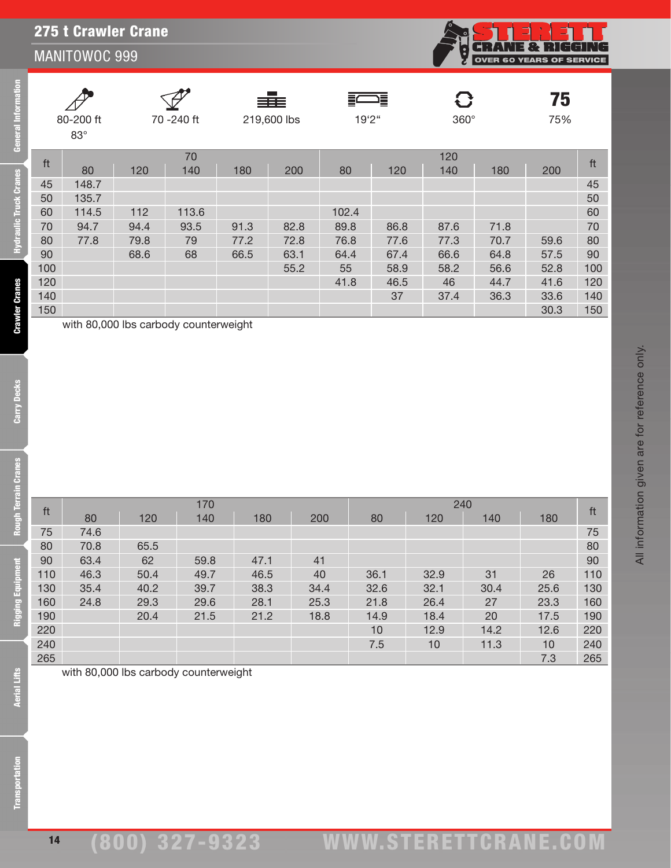|     | 80-200 ft<br>$83^\circ$               |      | 70 -240 ft |      | ≡≡≡<br>219,600 lbs |       | 這<br>19'2" |      | 360° | 75<br>75% |     |
|-----|---------------------------------------|------|------------|------|--------------------|-------|------------|------|------|-----------|-----|
| ft  |                                       |      | 70         |      |                    |       |            | 120  |      |           | ft  |
|     | 80                                    | 120  | 140        | 180  | 200                | 80    | 120        | 140  | 180  | 200       |     |
| 45  | 148.7                                 |      |            |      |                    |       |            |      |      |           | 45  |
| 50  | 135.7                                 |      |            |      |                    |       |            |      |      |           | 50  |
| 60  | 114.5                                 | 112  | 113.6      |      |                    | 102.4 |            |      |      |           | 60  |
| 70  | 94.7                                  | 94.4 | 93.5       | 91.3 | 82.8               | 89.8  | 86.8       | 87.6 | 71.8 |           | 70  |
| 80  | 77.8                                  | 79.8 | 79         | 77.2 | 72.8               | 76.8  | 77.6       | 77.3 | 70.7 | 59.6      | 80  |
| 90  |                                       | 68.6 | 68         | 66.5 | 63.1               | 64.4  | 67.4       | 66.6 | 64.8 | 57.5      | 90  |
| 100 |                                       |      |            |      | 55.2               | 55    | 58.9       | 58.2 | 56.6 | 52.8      | 100 |
| 120 |                                       |      |            |      |                    | 41.8  | 46.5       | 46   | 44.7 | 41.6      | 120 |
| 140 |                                       |      |            |      |                    |       | 37         | 37.4 | 36.3 | 33.6      | 140 |
| 150 |                                       |      |            |      |                    |       |            |      |      | 30.3      | 150 |
|     | with 80,000 lbs carbody counterweight |      |            |      |                    |       |            |      |      |           |     |

14

ft <sup>170</sup> <sup>240</sup> ft <sup>80</sup> <sup>120</sup> <sup>140</sup> <sup>180</sup> <sup>200</sup> <sup>80</sup> <sup>120</sup> <sup>140</sup> <sup>180</sup> 75 74.6 75 70.8 65.5 80 63.4 62 59.8 47.1 41 90 46.3 50.4 49.7 46.5 40 36.1 32.9 31 26 110 35.4 40.2 39.7 38.3 34.4 32.6 32.1 30.4 25.6 130 24.8 29.3 29.6 28.1 25.3 21.8 26.4 27 23.3 160 20.4 21.5 21.2 18.8 14.9 18.4 20 17.5 190 10 12.9 14.2 12.6 220 7.5 10 11.3 10 240 265 7.3 265

with 80,000 lbs carbody counterweight

**CRANE & RIGGING**<br>OVER 60 YEARS OF SERVICE

j.<br>N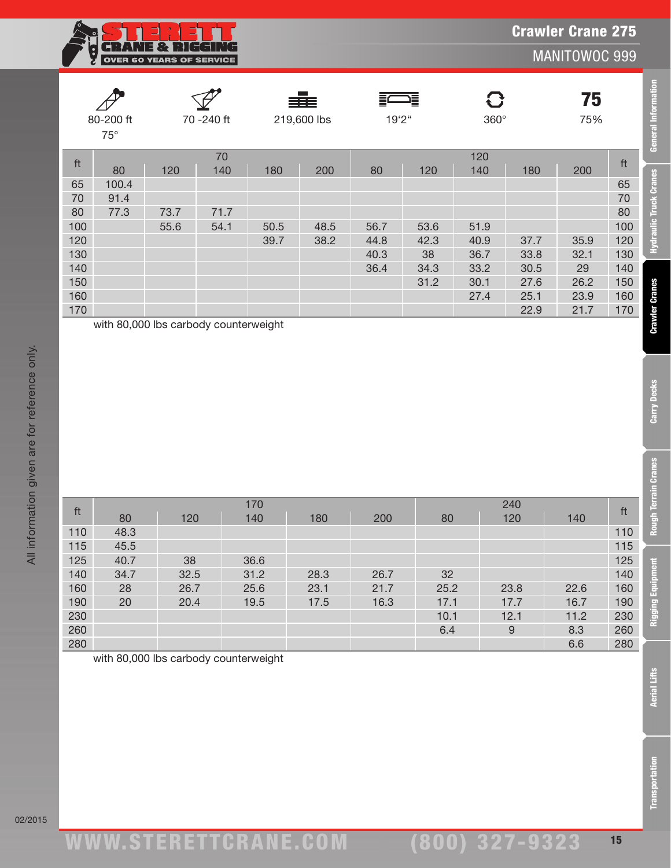

**General Information** 

**Hydraulic Truck Cranes** 

**Crawler Cranes** 

Carry Decks

**Rough Terrain Cranes** 

**Rigging Equipment** 

|                         | 80-200 ft<br>70 - 240 ft<br>$75^\circ$ |      |           | a sa B<br>≡≡≡<br>219,600 lbs |      | 這<br>Ξ<br>19'2" |      | C<br>$360^\circ$ |      |      |     |
|-------------------------|----------------------------------------|------|-----------|------------------------------|------|-----------------|------|------------------|------|------|-----|
| $\operatorname{\sf ft}$ | 80                                     | 120  | 70<br>140 | 180                          | 200  | 80              | 120  | 120<br>140       | 180  | 200  | ft  |
| 65                      | 100.4                                  |      |           |                              |      |                 |      |                  |      |      | 65  |
| 70                      | 91.4                                   |      |           |                              |      |                 |      |                  |      |      | 70  |
| 80                      | 77.3                                   | 73.7 | 71.7      |                              |      |                 |      |                  |      |      | 80  |
| 100                     |                                        | 55.6 | 54.1      | 50.5                         | 48.5 | 56.7            | 53.6 | 51.9             |      |      | 100 |
| 120                     |                                        |      |           | 39.7                         | 38.2 | 44.8            | 42.3 | 40.9             | 37.7 | 35.9 | 120 |
| 130                     |                                        |      |           |                              |      | 40.3            | 38   | 36.7             | 33.8 | 32.1 | 130 |
| 140                     |                                        |      |           |                              |      | 36.4            | 34.3 | 33.2             | 30.5 | 29   | 140 |
| 150                     |                                        |      |           |                              |      |                 | 31.2 | 30.1             | 27.6 | 26.2 | 150 |
| 160                     |                                        |      |           |                              |      |                 |      | 27.4             | 25.1 | 23.9 | 160 |
| 170                     |                                        |      |           |                              |      |                 |      |                  | 22.9 | 21.7 | 170 |

with 80,000 lbs carbody counterweight

|     |      |      | 170  |      |      |      | 240  |      |     |
|-----|------|------|------|------|------|------|------|------|-----|
| ft  | 80   | 120  | 140  | 180  | 200  | 80   | 120  | 140  | ft  |
| 110 | 48.3 |      |      |      |      |      |      |      | 110 |
| 115 | 45.5 |      |      |      |      |      |      |      | 115 |
| 125 | 40.7 | 38   | 36.6 |      |      |      |      |      | 125 |
| 140 | 34.7 | 32.5 | 31.2 | 28.3 | 26.7 | 32   |      |      | 140 |
| 160 | 28   | 26.7 | 25.6 | 23.1 | 21.7 | 25.2 | 23.8 | 22.6 | 160 |
| 190 | 20   | 20.4 | 19.5 | 17.5 | 16.3 | 17.1 | 17.7 | 16.7 | 190 |
| 230 |      |      |      |      |      | 10.1 | 12.1 | 11.2 | 230 |
| 260 |      |      |      |      |      | 6.4  | 9    | 8.3  | 260 |
| 280 |      |      |      |      |      |      |      | 6.6  | 280 |